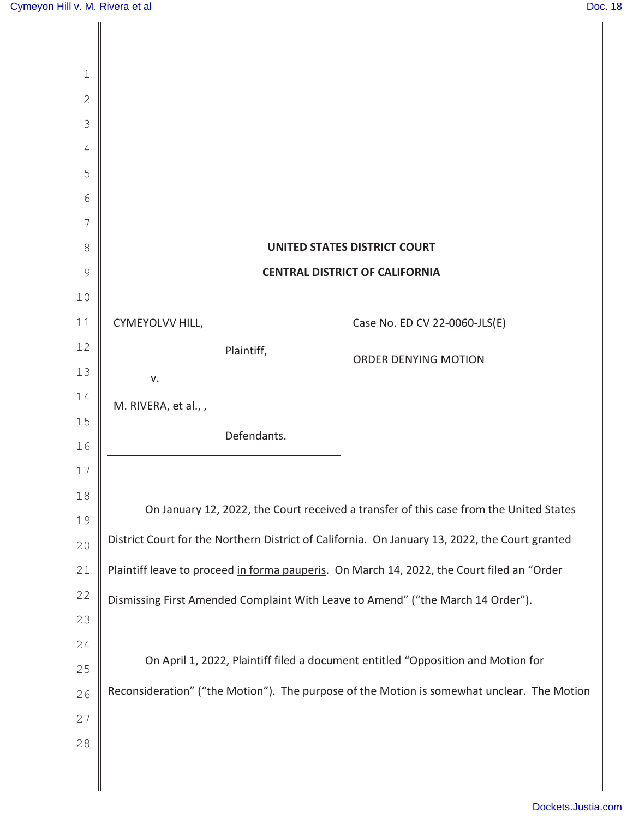| $\mathbf 1$    |                                                                                                                                                                                          |                               |
|----------------|------------------------------------------------------------------------------------------------------------------------------------------------------------------------------------------|-------------------------------|
| $\overline{2}$ |                                                                                                                                                                                          |                               |
| 3              |                                                                                                                                                                                          |                               |
| 4              |                                                                                                                                                                                          |                               |
| 5              |                                                                                                                                                                                          |                               |
| 6              |                                                                                                                                                                                          |                               |
| 7              |                                                                                                                                                                                          |                               |
| 8              | <b>UNITED STATES DISTRICT COURT</b>                                                                                                                                                      |                               |
| 9              | <b>CENTRAL DISTRICT OF CALIFORNIA</b>                                                                                                                                                    |                               |
| 10             |                                                                                                                                                                                          |                               |
| 11             | CYMEYOLVV HILL,                                                                                                                                                                          | Case No. ED CV 22-0060-JLS(E) |
| 12             | Plaintiff,                                                                                                                                                                               | ORDER DENYING MOTION          |
| 13             | v.                                                                                                                                                                                       |                               |
| 14             | M. RIVERA, et al.,,                                                                                                                                                                      |                               |
| 15             | Defendants.                                                                                                                                                                              |                               |
| 16             |                                                                                                                                                                                          |                               |
| 17<br>18       |                                                                                                                                                                                          |                               |
| 19             | On January 12, 2022, the Court received a transfer of this case from the United States<br>District Court for the Northern District of California. On January 13, 2022, the Court granted |                               |
| 20             |                                                                                                                                                                                          |                               |
| 21             | Plaintiff leave to proceed in forma pauperis. On March 14, 2022, the Court filed an "Order                                                                                               |                               |
| 22             | Dismissing First Amended Complaint With Leave to Amend" ("the March 14 Order").                                                                                                          |                               |
| 23             |                                                                                                                                                                                          |                               |
| 24             |                                                                                                                                                                                          |                               |
| 25             | On April 1, 2022, Plaintiff filed a document entitled "Opposition and Motion for                                                                                                         |                               |
| 26             | Reconsideration" ("the Motion"). The purpose of the Motion is somewhat unclear. The Motion                                                                                               |                               |
| 27             |                                                                                                                                                                                          |                               |
| 28             |                                                                                                                                                                                          |                               |
|                |                                                                                                                                                                                          |                               |